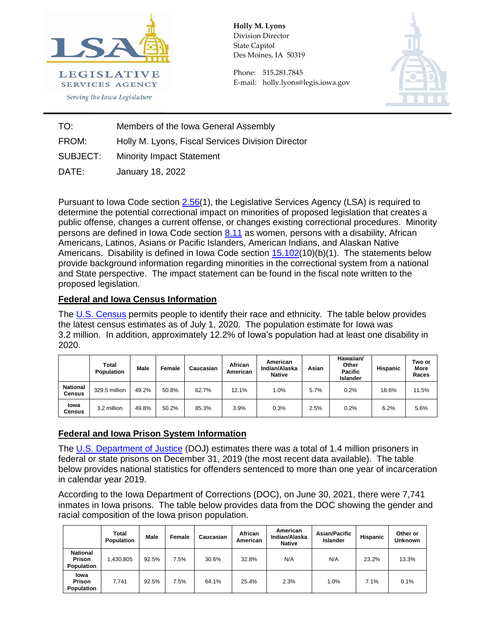

**Holly M. Lyons**  Division Director State Capitol Des Moines, IA 50319

Phone: 515.281.7845 E-mail: holly.lyons@legis.iowa.gov



TO: Members of the Iowa General Assembly FROM: Holly M. Lyons, Fiscal Services Division Director **SUBJECT:** 

Minority Impact Statement

DATE: January 18, 2022

Pursuant to Iowa Code section [2.56\(](https://www.legis.iowa.gov/docs/code/2.56.pdf)1), the Legislative Services Agency (LSA) is required to determine the potential correctional impact on minorities of proposed legislation that creates a public offense, changes a current offense, or changes existing correctional procedures. Minority persons are defined in Iowa Code section [8.11](https://www.legis.iowa.gov/docs/code/8.11.pdf) as women, persons with a disability, African Americans, Latinos, Asians or Pacific Islanders, American Indians, and Alaskan Native Americans. Disability is defined in Iowa Code section  $15.102(10)(b)(1)$ . The statements below provide background information regarding minorities in the correctional system from a national and State perspective. The impact statement can be found in the fiscal note written to the proposed legislation.

## **Federal and Iowa Census Information**

The [U.S. Census](https://data.census.gov/cedsci/) permits people to identify their race and ethnicity. The table below provides the latest census estimates as of July 1, 2020. The population estimate for Iowa was 3.2 million. In addition, approximately 12.2% of Iowa's population had at least one disability in 2020.

|                           | <b>Total</b><br>Population | Male  | Female | Caucasian | African<br>American | American<br>Indian/Alaska<br><b>Native</b> | Asian | Hawaiian/<br>Other<br><b>Pacific</b><br>Islander | <b>Hispanic</b> | Two or<br>More<br>Races |
|---------------------------|----------------------------|-------|--------|-----------|---------------------|--------------------------------------------|-------|--------------------------------------------------|-----------------|-------------------------|
| <b>National</b><br>Census | 329.5 million              | 49.2% | 50.8%  | 62.7%     | 12.1%               | $0\%$                                      | 5.7%  | 0.2%                                             | 18.6%           | 11.5%                   |
| lowa<br>Census            | 3.2 million                | 49.8% | 50.2%  | 85.3%     | 3.9%                | 0.3%                                       | 2.5%  | 0.2%                                             | 6.2%            | 5.6%                    |

## **Federal and Iowa Prison System Information**

The U.S. [Department of Justice](https://bjs.ojp.gov/content/pub/pdf/p19.pdf) (DOJ) estimates there was a total of 1.4 million prisoners in federal or state prisons on December 31, 2019 (the most recent data available). The table below provides national statistics for offenders sentenced to more than one year of incarceration in calendar year 2019.

According to the Iowa Department of Corrections (DOC), on June 30, 2021, there were 7,741 inmates in Iowa prisons. The table below provides data from the DOC showing the gender and racial composition of the Iowa prison population.

|                                                | <b>Total</b><br>Population | Male  | Female | Caucasian | African<br>American | American<br>Indian/Alaska<br><b>Native</b> | <b>Asian/Pacific</b><br>Islander | Hispanic | Other or<br><b>Unknown</b> |
|------------------------------------------------|----------------------------|-------|--------|-----------|---------------------|--------------------------------------------|----------------------------------|----------|----------------------------|
| <b>National</b><br><b>Prison</b><br>Population | 1,430,805                  | 92.5% | 7.5%   | 30.6%     | 32.8%               | N/A                                        | N/A                              | 23.2%    | 13.3%                      |
| lowa<br>Prison<br>Population                   | 7.741                      | 92.5% | 7.5%   | 64.1%     | 25.4%               | 2.3%                                       | 1.0%                             | 7.1%     | 0.1%                       |